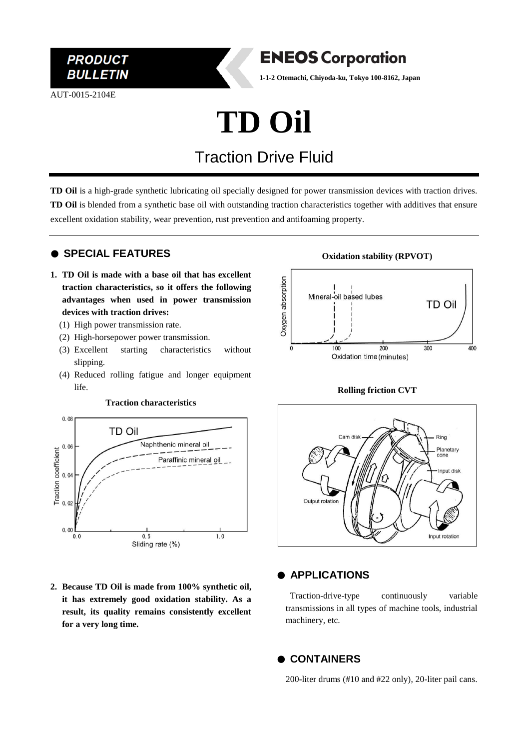

AUT-0015-2104E



**1-1-2 Otemachi, Chiyoda-ku, Tokyo 100-8162, Japan**

# **TD Oil**

# Traction Drive Fluid

**TD Oil** is a high-grade synthetic lubricating oil specially designed for power transmission devices with traction drives. **TD Oil** is blended from a synthetic base oil with outstanding traction characteristics together with additives that ensure excellent oxidation stability, wear prevention, rust prevention and antifoaming property.

### ● **SPECIAL FEATURES**

- **1. TD Oil is made with a base oil that has excellent traction characteristics, so it offers the following advantages when used in power transmission devices with traction drives:**
	- (1) High power transmission rate.
	- (2) High-horsepower power transmission.
	- (3) Excellent starting characteristics without slipping.
	- (4) Reduced rolling fatigue and longer equipment life.



**2. Because TD Oil is made from 100% synthetic oil, it has extremely good oxidation stability. As a result, its quality remains consistently excellent for a very long time.**

#### **Oxidation stability (RPVOT)**



#### **Rolling friction CVT**



### ● **APPLICATIONS**

Traction-drive-type continuously variable transmissions in all types of machine tools, industrial machinery, etc.

#### ● **CONTAINERS**

200-liter drums (#10 and #22 only), 20-liter pail cans.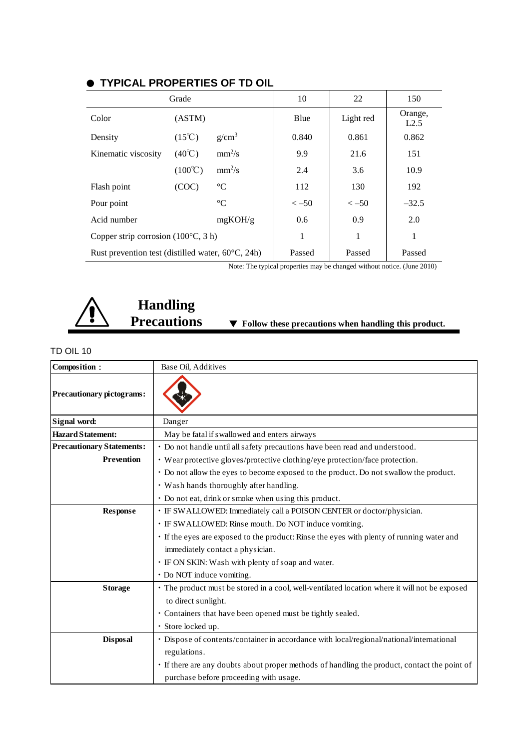| Grade                                                       |                  |                 | 10        | 22        | 150             |
|-------------------------------------------------------------|------------------|-----------------|-----------|-----------|-----------------|
| Color                                                       | (ASTM)           |                 | Blue      | Light red | Orange,<br>L2.5 |
| Density                                                     | $(15^{\circ}C)$  | $g/cm^3$        | 0.840     | 0.861     | 0.862           |
| Kinematic viscosity                                         | $(40^{\circ}C)$  | $mm^2/s$        | 9.9       | 21.6      | 151             |
|                                                             | $(100^{\circ}C)$ | $mm^2/s$        | 2.4       | 3.6       | 10.9            |
| Flash point                                                 | (COC)            | $\rm ^{\circ}C$ | 112       | 130       | 192             |
| Pour point                                                  |                  | $\rm ^{\circ}C$ | $\le -50$ | $\le -50$ | $-32.5$         |
| Acid number                                                 |                  | mgKOH/g         | 0.6       | 0.9       | 2.0             |
| Copper strip corrosion $(100^{\circ}C, 3 h)$                |                  |                 | 1         | 1         | 1               |
| Rust prevention test (distilled water, $60^{\circ}$ C, 24h) |                  |                 | Passed    | Passed    | Passed          |

## ● **TYPICAL PROPERTIES OF TD OIL**

Note: The typical properties may be changed without notice. (June 2010)



# **Handling**

▼ Follow these precautions when handling this product.

#### TD OIL 10

| Composition:                     | Base Oil, Additives                                                                           |  |  |  |
|----------------------------------|-----------------------------------------------------------------------------------------------|--|--|--|
| <b>Precautionary pictograms:</b> |                                                                                               |  |  |  |
| Signal word:                     | Danger                                                                                        |  |  |  |
| <b>Hazard Statement:</b>         | May be fatal if swallowed and enters airways                                                  |  |  |  |
| <b>Precautionary Statements:</b> | • Do not handle until all safety precautions have been read and understood.                   |  |  |  |
| <b>Prevention</b>                | • Wear protective gloves/protective clothing/eye protection/face protection.                  |  |  |  |
|                                  | • Do not allow the eyes to become exposed to the product. Do not swallow the product.         |  |  |  |
|                                  | • Wash hands thoroughly after handling.                                                       |  |  |  |
|                                  | • Do not eat, drink or smoke when using this product.                                         |  |  |  |
| <b>Response</b>                  | • IF SWALLOWED: Immediately call a POISON CENTER or doctor/physician.                         |  |  |  |
|                                  | · IF SWALLOWED: Rinse mouth. Do NOT induce vomiting.                                          |  |  |  |
|                                  | · If the eyes are exposed to the product: Rinse the eyes with plenty of running water and     |  |  |  |
|                                  | immediately contact a physician.                                                              |  |  |  |
|                                  | • IF ON SKIN: Wash with plenty of soap and water.                                             |  |  |  |
|                                  | · Do NOT induce vomiting.                                                                     |  |  |  |
| <b>Storage</b>                   | • The product must be stored in a cool, well-ventilated location where it will not be exposed |  |  |  |
|                                  | to direct sunlight.                                                                           |  |  |  |
|                                  | • Containers that have been opened must be tightly sealed.                                    |  |  |  |
|                                  | · Store locked up.                                                                            |  |  |  |
| <b>Disposal</b>                  | · Dispose of contents/container in accordance with local/regional/national/international      |  |  |  |
|                                  | regulations.                                                                                  |  |  |  |
|                                  | · If there are any doubts about proper methods of handling the product, contact the point of  |  |  |  |
|                                  | purchase before proceeding with usage.                                                        |  |  |  |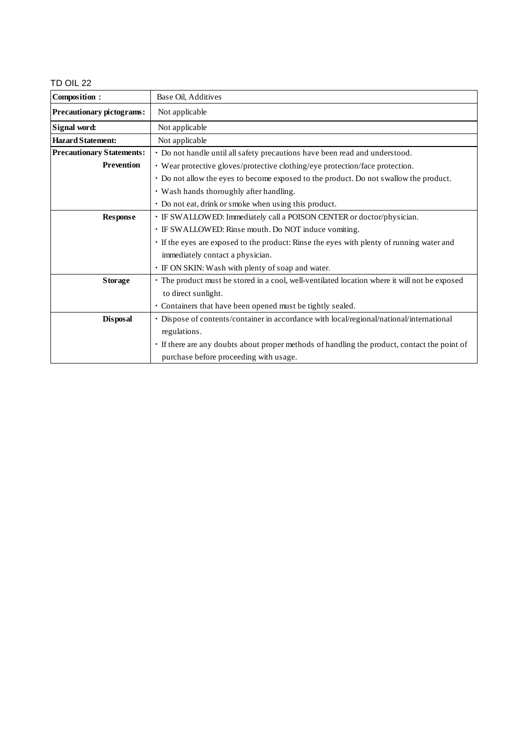#### TD OIL 22

| Composition:                     | Base Oil, Additives                                                                           |  |  |
|----------------------------------|-----------------------------------------------------------------------------------------------|--|--|
| Precautionary pictograms:        | Not applicable                                                                                |  |  |
| Signal word:                     | Not applicable                                                                                |  |  |
| <b>Hazard Statement:</b>         | Not applicable                                                                                |  |  |
| <b>Precautionary Statements:</b> | · Do not handle until all safety precautions have been read and understood.                   |  |  |
| <b>Prevention</b>                | • Wear protective gloves/protective clothing/eye protection/face protection.                  |  |  |
|                                  | • Do not allow the eyes to become exposed to the product. Do not swallow the product.         |  |  |
|                                  | · Wash hands thoroughly after handling.                                                       |  |  |
|                                  | • Do not eat, drink or smoke when using this product.                                         |  |  |
| <b>Response</b>                  | · IF SWALLOWED: Immediately call a POISON CENTER or doctor/physician.                         |  |  |
|                                  | · IF SWALLOWED: Rinse mouth. Do NOT induce vomiting.                                          |  |  |
|                                  | · If the eyes are exposed to the product: Rinse the eyes with plenty of running water and     |  |  |
|                                  | immediately contact a physician.                                                              |  |  |
|                                  | • IF ON SKIN: Wash with plenty of soap and water.                                             |  |  |
| <b>Storage</b>                   | · The product must be stored in a cool, well-ventilated location where it will not be exposed |  |  |
|                                  | to direct sunlight.                                                                           |  |  |
|                                  | • Containers that have been opened must be tightly sealed.                                    |  |  |
| <b>Disposal</b>                  | · Dispose of contents/container in accordance with local/regional/national/international      |  |  |
|                                  | regulations.                                                                                  |  |  |
|                                  | · If there are any doubts about proper methods of handling the product, contact the point of  |  |  |
|                                  | purchase before proceeding with usage.                                                        |  |  |